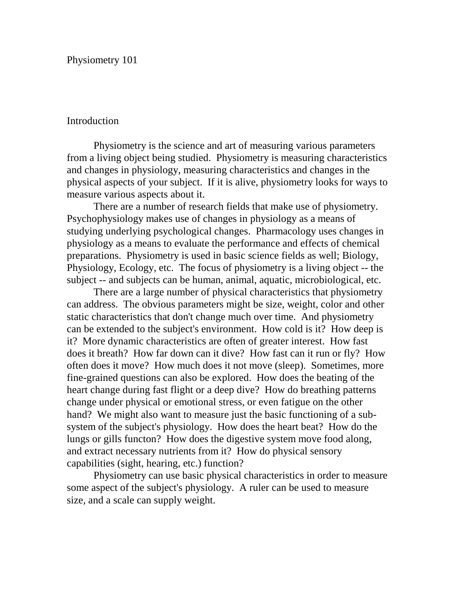Physiometry 101

## Introduction

Physiometry is the science and art of measuring various parameters from a living object being studied. Physiometry is measuring characteristics and changes in physiology, measuring characteristics and changes in the physical aspects of your subject. If it is alive, physiometry looks for ways to measure various aspects about it.

There are a number of research fields that make use of physiometry. Psychophysiology makes use of changes in physiology as a means of studying underlying psychological changes. Pharmacology uses changes in physiology as a means to evaluate the performance and effects of chemical preparations. Physiometry is used in basic science fields as well; Biology, Physiology, Ecology, etc. The focus of physiometry is a living object -- the subject -- and subjects can be human, animal, aquatic, microbiological, etc.

There are a large number of physical characteristics that physiometry can address. The obvious parameters might be size, weight, color and other static characteristics that don't change much over time. And physiometry can be extended to the subject's environment. How cold is it? How deep is it? More dynamic characteristics are often of greater interest. How fast does it breath? How far down can it dive? How fast can it run or fly? How often does it move? How much does it not move (sleep). Sometimes, more fine-grained questions can also be explored. How does the beating of the heart change during fast flight or a deep dive? How do breathing patterns change under physical or emotional stress, or even fatigue on the other hand? We might also want to measure just the basic functioning of a subsystem of the subject's physiology. How does the heart beat? How do the lungs or gills functon? How does the digestive system move food along, and extract necessary nutrients from it? How do physical sensory capabilities (sight, hearing, etc.) function?

Physiometry can use basic physical characteristics in order to measure some aspect of the subject's physiology. A ruler can be used to measure size, and a scale can supply weight.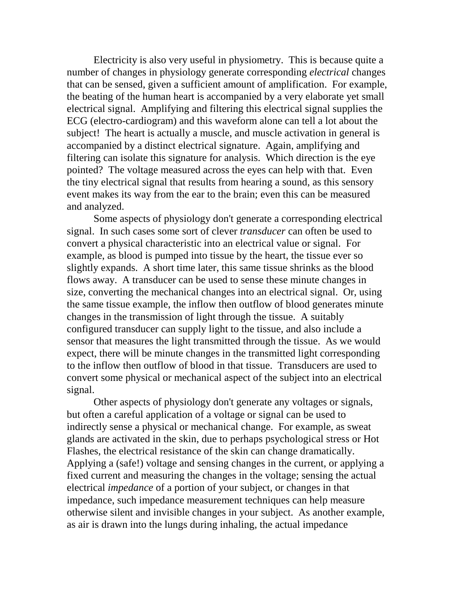Electricity is also very useful in physiometry. This is because quite a number of changes in physiology generate corresponding *electrical* changes that can be sensed, given a sufficient amount of amplification. For example, the beating of the human heart is accompanied by a very elaborate yet small electrical signal. Amplifying and filtering this electrical signal supplies the ECG (electro-cardiogram) and this waveform alone can tell a lot about the subject! The heart is actually a muscle, and muscle activation in general is accompanied by a distinct electrical signature. Again, amplifying and filtering can isolate this signature for analysis. Which direction is the eye pointed? The voltage measured across the eyes can help with that. Even the tiny electrical signal that results from hearing a sound, as this sensory event makes its way from the ear to the brain; even this can be measured and analyzed.

Some aspects of physiology don't generate a corresponding electrical signal. In such cases some sort of clever *transducer* can often be used to convert a physical characteristic into an electrical value or signal. For example, as blood is pumped into tissue by the heart, the tissue ever so slightly expands. A short time later, this same tissue shrinks as the blood flows away. A transducer can be used to sense these minute changes in size, converting the mechanical changes into an electrical signal. Or, using the same tissue example, the inflow then outflow of blood generates minute changes in the transmission of light through the tissue. A suitably configured transducer can supply light to the tissue, and also include a sensor that measures the light transmitted through the tissue. As we would expect, there will be minute changes in the transmitted light corresponding to the inflow then outflow of blood in that tissue. Transducers are used to convert some physical or mechanical aspect of the subject into an electrical signal.

Other aspects of physiology don't generate any voltages or signals, but often a careful application of a voltage or signal can be used to indirectly sense a physical or mechanical change. For example, as sweat glands are activated in the skin, due to perhaps psychological stress or Hot Flashes, the electrical resistance of the skin can change dramatically. Applying a (safe!) voltage and sensing changes in the current, or applying a fixed current and measuring the changes in the voltage; sensing the actual electrical *impedance* of a portion of your subject, or changes in that impedance, such impedance measurement techniques can help measure otherwise silent and invisible changes in your subject. As another example, as air is drawn into the lungs during inhaling, the actual impedance